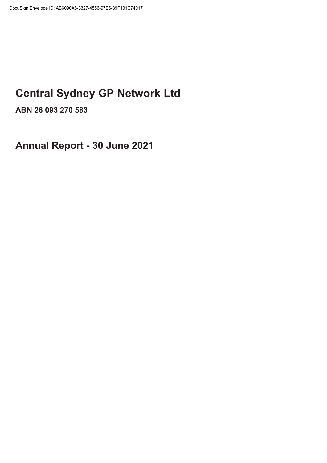# **Central Sydney GP Network Ltd**

**ABN 26 093 270 583** 

**Annual Report - 30 June 2021**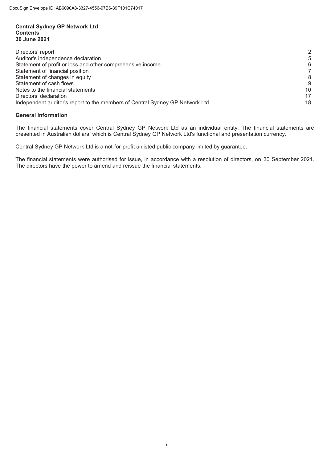## **Central Sydney GP Network Ltd Contents 30 June 2021**

| Directors' report                                                            |    |
|------------------------------------------------------------------------------|----|
| Auditor's independence declaration                                           | 5  |
| Statement of profit or loss and other comprehensive income                   | 6  |
| Statement of financial position                                              |    |
| Statement of changes in equity                                               | 8  |
| Statement of cash flows                                                      | 9  |
| Notes to the financial statements                                            | 10 |
| Directors' declaration                                                       | 17 |
| Independent auditor's report to the members of Central Sydney GP Network Ltd | 18 |

# **General information**

The financial statements cover Central Sydney GP Network Ltd as an individual entity. The financial statements are presented in Australian dollars, which is Central Sydney GP Network Ltd's functional and presentation currency.

Central Sydney GP Network Ltd is a not-for-profit unlisted public company limited by guarantee.

The financial statements were authorised for issue, in accordance with a resolution of directors, on 30 September 2021. The directors have the power to amend and reissue the financial statements.

 1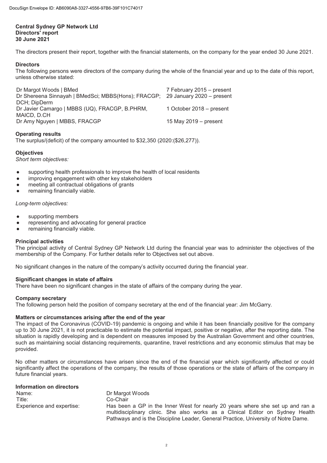# **Central Sydney GP Network Ltd Directors' report 30 June 2021**

The directors present their report, together with the financial statements, on the company for the year ended 30 June 2021.

# **Directors**

The following persons were directors of the company during the whole of the financial year and up to the date of this report, unless otherwise stated:

| Dr Margot Woods   BMed                                                        | 7 February 2015 - present |
|-------------------------------------------------------------------------------|---------------------------|
| Dr Shereena Sinnayah   BMedSci; MBBS(Hons); FRACGP; 29 January 2020 - present |                           |
| DCH; DipDerm                                                                  |                           |
| Dr Javier Camargo   MBBS (UQ), FRACGP, B.PHRM,                                | 1 October 2018 - present  |
| MAICD, D.CH                                                                   |                           |
| Dr Amy Nguyen   MBBS, FRACGP                                                  | 15 May 2019 $-$ present   |
|                                                                               |                           |

# **Operating results**

The surplus/(deficit) of the company amounted to \$32,350 (2020:(\$26,277)).

# **Objectives**

*Short term objectives:*

- supporting health professionals to improve the health of local residents
- improving engagement with other key stakeholders
- meeting all contractual obligations of grants
- remaining financially viable.

# *Long-term objectives:*

- supporting members
- representing and advocating for general practice
- remaining financially viable.

# **Principal activities**

The principal activity of Central Sydney GP Network Ltd during the financial year was to administer the objectives of the membership of the Company. For further details refer to Objectives set out above.

No significant changes in the nature of the company's activity occurred during the financial year.

# **Significant changes in state of affairs**

There have been no significant changes in the state of affairs of the company during the year.

# **Company secretary**

The following person held the position of company secretary at the end of the financial year: Jim McGarry.

# **Matters or circumstances arising after the end of the year**

The impact of the Coronavirus (COVID-19) pandemic is ongoing and while it has been financially positive for the company up to 30 June 2021, it is not practicable to estimate the potential impact, positive or negative, after the reporting date. The situation is rapidly developing and is dependent on measures imposed by the Australian Government and other countries, such as maintaining social distancing requirements, quarantine, travel restrictions and any economic stimulus that may be provided.

No other matters or circumstances have arisen since the end of the financial year which significantly affected or could significantly affect the operations of the company, the results of those operations or the state of affairs of the company in future financial years.

| <b>Information on directors</b> |                                                                                                                                                                                                                                                        |
|---------------------------------|--------------------------------------------------------------------------------------------------------------------------------------------------------------------------------------------------------------------------------------------------------|
| Name:                           | Dr Margot Woods                                                                                                                                                                                                                                        |
| Title:                          | Co-Chair                                                                                                                                                                                                                                               |
| Experience and expertise:       | Has been a GP in the Inner West for nearly 20 years where she set up and ran a<br>multidisciplinary clinic. She also works as a Clinical Editor on Sydney Health<br>Pathways and is the Discipline Leader, General Practice, University of Notre Dame. |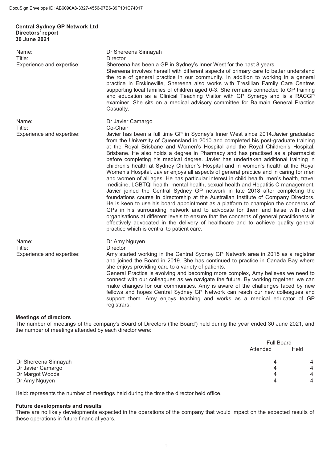#### **Central Sydney GP Network Ltd Directors' report 30 June 2021**

Name: Dr Shereena Sinnayah Title: Director<br>Experience and expertise: Shereen Shereena has been a GP in Sydney's Inner West for the past 8 years. Shereena involves herself with different aspects of primary care to better understand the role of general practice in our community. In addition to working in a general practice in Erskineville, Shereena also works with Tresillian Family Care Centres supporting local families of children aged 0-3. She remains connected to GP training and education as a Clinical Teaching Visitor with GP Synergy and is a RACGP examiner. She sits on a medical advisory committee for Balmain General Practice Casualty. Name: Dr Javier Camargo Title: Co-Chair Experience and expertise: Javier has been a full time GP in Sydney's Inner West since 2014.Javier graduated from the University of Queensland in 2010 and completed his post-graduate training at the Royal Brisbane and Women's Hospital and the Royal Children's Hospital, Brisbane. He also holds a degree in Pharmacy and has practised as a pharmacist before completing his medical degree. Javier has undertaken additional training in children's health at Sydney Children's Hospital and in women's health at the Royal Women's Hospital. Javier enjoys all aspects of general practice and in caring for men and women of all ages. He has particular interest in child health, men's health, travel medicine, LGBTQI health, mental health, sexual health and Hepatitis C management. Javier joined the Central Sydney GP network in late 2018 after completing the foundations course in directorship at the Australian Institute of Company Directors. He is keen to use his board appointment as a platform to champion the concerns of GPs in his surrounding network and to advocate for them and liaise with other organisations at different levels to ensure that the concerns of general practitioners is effectively advocated in the delivery of healthcare and to achieve quality general practice which is central to patient care. Name: Dr Amy Nguyen Title: Director Experience and expertise: Amy started working in the Central Sydney GP Network area in 2015 as a registrar and joined the Board in 2019. She has continued to practice in Canada Bay where she enjoys providing care to a variety of patients. General Practice is evolving and becoming more complex, Amy believes we need to connect with our colleagues as we navigate the future. By working together, we can make changes for our communities. Amy is aware of the challenges faced by new fellows and hopes Central Sydney GP Network can reach our new colleagues and support them. Amy enjoys teaching and works as a medical educator of GP registrars. **Meetings of directors**  The number of meetings of the company's Board of Directors ('the Board') held during the year ended 30 June 2021, and the number of meetings attended by each director were:  $\equiv$   $\equiv$ 

|                      | Full Board |      |
|----------------------|------------|------|
|                      | Attended   | Held |
| Dr Shereena Sinnayah |            | 4    |
| Dr Javier Camargo    | 4          | 4    |
| Dr Margot Woods      | 4          | 4    |
| Dr Amy Nguyen        | 4          | 4    |

Held: represents the number of meetings held during the time the director held office.

#### **Future developments and results**

There are no likely developments expected in the operations of the company that would impact on the expected results of these operations in future financial years.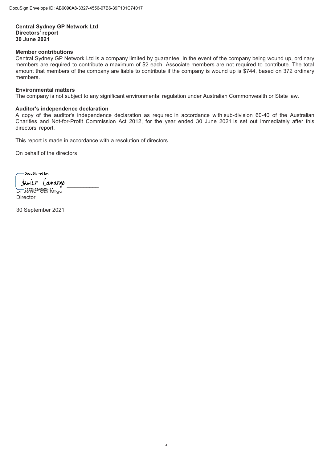**Central Sydney GP Network Ltd Directors' report 30 June 2021** 

# **Member contributions**

Central Sydney GP Network Ltd is a company limited by guarantee. In the event of the company being wound up, ordinary members are required to contribute a maximum of \$2 each. Associate members are not required to contribute. The total amount that members of the company are liable to contribute if the company is wound up is \$744, based on 372 ordinary members.

# **Environmental matters**

The company is not subject to any significant environmental regulation under Australian Commonwealth or State law.

# **Auditor's independence declaration**

A copy of the auditor's independence declaration as required in accordance with sub-division 60-40 of the Australian Charities and Not-for-Profit Commission Act 2012, for the year ended 30 June 2021 is set out immediately after this directors' report.

 4

This report is made in accordance with a resolution of directors.

On behalf of the directors

í -<br>DocuSianed by: Javier *Camargo* Dr DEEE152A58E648A... U **Director** 

30 September 2021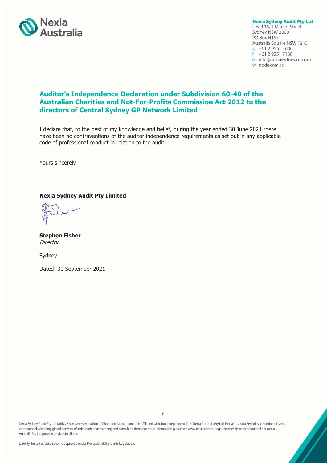

**Nexia Sydney Audit Pty Ltd** Level 16, 1 Market Street Sydney NSW 2000 PO Box H195 Australia Square NSW 1215 p +61 2 9251 4600 +61 2 9251 7138 e info@nexiasydney.com.au w nexia.com.au

# **Auditor's Independence Declaration under Subdivision 60-40 of the Australian Charities and Not-For-Profits Commission Act 2012 to the directors of Central Sydney GP Network Limited**

I declare that, to the best of my knowledge and belief, during the year ended 30 June 2021 there have been no contraventions of the auditor independence requirements as set out in any applicable code of professional conduct in relation to the audit.

Yours sincerely

# **Nexia Sydney Audit Pty Limited**

**Stephen Fisher Director** 

Sydney

Dated: 30 September 2021

Nexia Sydney Audit Pty Ltd (ABN 77 606 785 399) is a firm of Chartered Accountants. It is affiliated with, but independent from Nexia Australia Pty Ltd. Nexia Australia Pty Ltd is a member of Nexia International, a leading, global network of independent accounting and consulting firms. For more information please see www.nexia.com.au/legal. Neither Nexia International nor Nexia Australia Pty Ltd provide services to clients.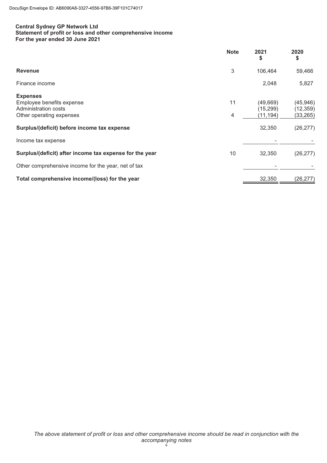# **Central Sydney GP Network Ltd Statement of profit or loss and other comprehensive income For the year ended 30 June 2021**

|                                                                                                  | <b>Note</b> | 2021<br>\$                        | 2020<br>\$                          |
|--------------------------------------------------------------------------------------------------|-------------|-----------------------------------|-------------------------------------|
| <b>Revenue</b>                                                                                   | 3           | 106,464                           | 59,466                              |
| Finance income                                                                                   |             | 2,048                             | 5,827                               |
| <b>Expenses</b><br>Employee benefits expense<br>Administration costs<br>Other operating expenses | 11<br>4     | (49,669)<br>(15, 299)<br>(11,194) | (45, 946)<br>(12, 359)<br>(33, 265) |
| Surplus/(deficit) before income tax expense                                                      |             | 32,350                            | (26, 277)                           |
| Income tax expense                                                                               |             |                                   |                                     |
| Surplus/(deficit) after income tax expense for the year                                          | 10          | 32,350                            | (26, 277)                           |
| Other comprehensive income for the year, net of tax                                              |             |                                   |                                     |
| Total comprehensive income/(loss) for the year                                                   |             | 32,350                            | (26, 277)                           |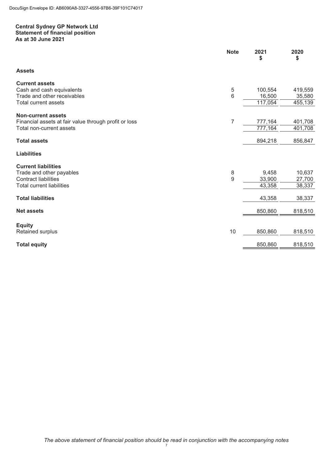# **Central Sydney GP Network Ltd Statement of financial position As at 30 June 2021**

|                                                       | <b>Note</b> | 2021<br>\$ | 2020<br>\$ |
|-------------------------------------------------------|-------------|------------|------------|
| <b>Assets</b>                                         |             |            |            |
| <b>Current assets</b>                                 |             |            |            |
| Cash and cash equivalents                             | 5           | 100,554    | 419,559    |
| Trade and other receivables                           | 6           | 16,500     | 35,580     |
| <b>Total current assets</b>                           |             | 117,054    | 455,139    |
| <b>Non-current assets</b>                             |             |            |            |
| Financial assets at fair value through profit or loss | 7           | 777,164    | 401,708    |
| Total non-current assets                              |             | 777,164    | 401,708    |
| <b>Total assets</b>                                   |             | 894,218    | 856,847    |
| <b>Liabilities</b>                                    |             |            |            |
| <b>Current liabilities</b>                            |             |            |            |
| Trade and other payables                              | 8           | 9,458      | 10,637     |
| <b>Contract liabilities</b>                           | 9           | 33,900     | 27,700     |
| <b>Total current liabilities</b>                      |             | 43,358     | 38,337     |
| <b>Total liabilities</b>                              |             | 43,358     | 38,337     |
| <b>Net assets</b>                                     |             | 850,860    | 818,510    |
|                                                       |             |            |            |
| <b>Equity</b>                                         |             |            |            |
| Retained surplus                                      | $10$        | 850,860    | 818,510    |
| <b>Total equity</b>                                   |             | 850,860    | 818,510    |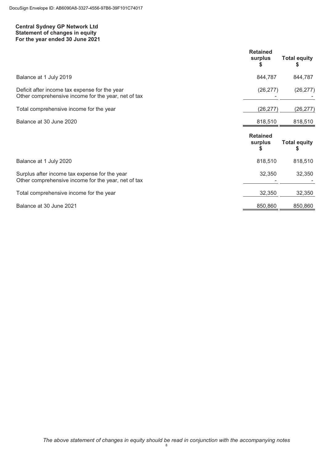# **Central Sydney GP Network Ltd Statement of changes in equity For the year ended 30 June 2021**

|                                                                                                      | <b>Retained</b><br>surplus      | <b>Total equity</b>       |
|------------------------------------------------------------------------------------------------------|---------------------------------|---------------------------|
| Balance at 1 July 2019                                                                               | 844,787                         | 844,787                   |
| Deficit after income tax expense for the year<br>Other comprehensive income for the year, net of tax | (26, 277)                       | (26, 277)                 |
| Total comprehensive income for the year                                                              | (26, 277)                       | (26, 277)                 |
| Balance at 30 June 2020                                                                              | 818,510                         | 818,510                   |
|                                                                                                      |                                 |                           |
|                                                                                                      | <b>Retained</b><br>surplus<br>5 | <b>Total equity</b><br>\$ |
| Balance at 1 July 2020                                                                               | 818,510                         | 818,510                   |
| Surplus after income tax expense for the year<br>Other comprehensive income for the year, net of tax | 32,350                          | 32,350                    |
| Total comprehensive income for the year                                                              | 32,350                          | 32,350                    |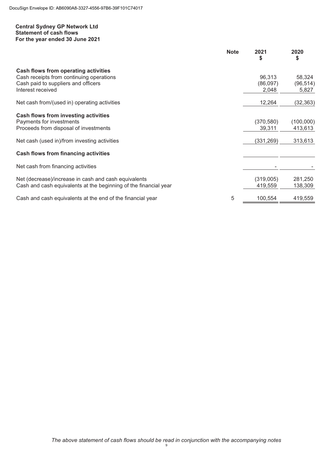# **Central Sydney GP Network Ltd Statement of cash flows For the year ended 30 June 2021**

|                                                                  | <b>Note</b> | 2021<br>S  | 2020<br>\$ |
|------------------------------------------------------------------|-------------|------------|------------|
| Cash flows from operating activities                             |             |            |            |
| Cash receipts from continuing operations                         |             | 96,313     | 58,324     |
| Cash paid to suppliers and officers                              |             | (86,097)   | (96, 514)  |
| Interest received                                                |             | 2,048      | 5,827      |
| Net cash from/(used in) operating activities                     |             | 12,264     | (32,363)   |
| <b>Cash flows from investing activities</b>                      |             |            |            |
| Payments for investments                                         |             | (370, 580) | (100,000)  |
| Proceeds from disposal of investments                            |             | 39,311     | 413,613    |
|                                                                  |             |            |            |
| Net cash (used in)/from investing activities                     |             | (331, 269) | 313,613    |
| <b>Cash flows from financing activities</b>                      |             |            |            |
| Net cash from financing activities                               |             |            |            |
| Net (decrease)/increase in cash and cash equivalents             |             | (319,005)  | 281,250    |
| Cash and cash equivalents at the beginning of the financial year |             | 419,559    | 138,309    |
|                                                                  |             |            |            |
| Cash and cash equivalents at the end of the financial year       | 5           | 100,554    | 419,559    |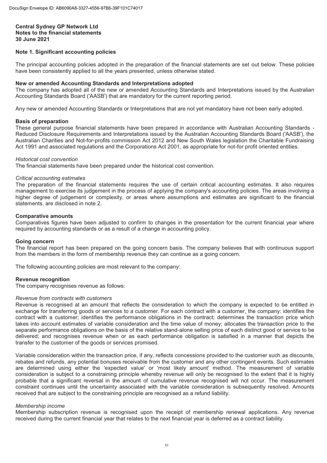# **Note 1. Significant accounting policies**

The principal accounting policies adopted in the preparation of the financial statements are set out below. These policies have been consistently applied to all the years presented, unless otherwise stated.

# **New or amended Accounting Standards and Interpretations adopted**

The company has adopted all of the new or amended Accounting Standards and Interpretations issued by the Australian Accounting Standards Board ('AASB') that are mandatory for the current reporting period.

Any new or amended Accounting Standards or Interpretations that are not yet mandatory have not been early adopted.

### **Basis of preparation**

These general purpose financial statements have been prepared in accordance with Australian Accounting Standards - Reduced Disclosure Requirements and Interpretations issued by the Australian Accounting Standards Board ('AASB'), the Australian Charities and Not-for-profits commission Act 2012 and New South Wales legislation the Charitable Fundraising Act 1991 and associated regulations and the Corporations Act 2001, as appropriate for not-for profit oriented entities.

### Historical cost convention

*Historical cost convention*  The financial statements have been prepared under the historical cost convention.

*Critical accounting estimates*  The preparation of the financial statements requires the use of certain critical accounting estimates. It also requires management to exercise its judgement in the process of applying the company's accounting policies. The areas involving a higher degree of judgement or complexity, or areas where assumptions and estimates are significant to the financial statements, are disclosed in note 2.

# **Comparative amounts**

Comparatives figures have been adjusted to confirm to changes in the presentation for the current financial year where required by accounting standards or as a result of a change in accounting policy.

#### **Going concern**

The financial report has been prepared on the going concern basis. The company believes that with continuous support from the members in the form of membership revenue they can continue as a going concern.

The following accounting policies are most relevant to the company:

#### **Revenue recognition**

The company recognises revenue as follows:

# Revenue from contracts with customers

*Revenue from contracts with customers* Revenue is recognised at an amount that reflects the consideration to which the company is expected to be entitled in exchange for transferring goods or services to a customer. For each contract with a customer, the company: identifies the contract with a customer; identifies the performance obligations in the contract; determines the transaction price which takes into account estimates of variable consideration and the time value of money; allocates the transaction price to the separate performance obligations on the basis of the relative stand-alone selling price of each distinct good or service to be delivered; and recognises revenue when or as each performance obligation is satisfied in a manner that depicts the transfer to the customer of the goods or services promised.

Variable consideration within the transaction price, if any, reflects concessions provided to the customer such as discounts, rebates and refunds, any potential bonuses receivable from the customer and any other contingent events. Such estimates are determined using either the 'expected value' or 'most likely amount' method. The measurement of variable consideration is subject to a constraining principle whereby revenue will only be recognised to the extent that it is highly probable that a significant reversal in the amount of cumulative revenue recognised will not occur. The measurement constraint continues until the uncertainty associated with the variable consideration is subsequently resolved. Amounts received that are subject to the constraining principle are recognised as a refund liability.

Membership subscription revenue is recognised upon the receipt of membership renewal applications. Any revenue received during the current financial year that relates to the next financial year is deferred as a contract liability.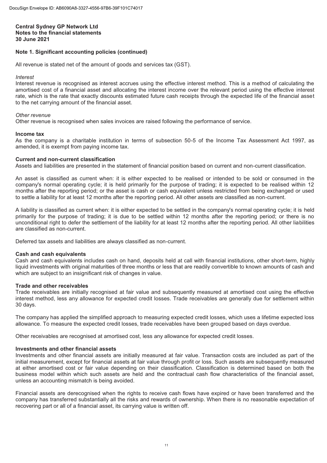# **Note 1. Significant accounting policies (continued)**

All revenue is stated net of the amount of goods and services tax (GST).

Interest

*Interest*  Interest revenue is recognised as interest accrues using the effective interest method. This is a method of calculating the amortised cost of a financial asset and allocating the interest income over the relevant period using the effective interest rate, which is the rate that exactly discounts estimated future cash receipts through the expected life of the financial asset to the net carrying amount of the financial asset.

## Other revenue

*Other revenue*  Other revenue is recognised when sales invoices are raised following the performance of service.

### **Income tax**

As the company is a charitable institution in terms of subsection 50-5 of the Income Tax Assessment Act 1997, as amended, it is exempt from paying income tax.

# **Current and non-current classification**

Assets and liabilities are presented in the statement of financial position based on current and non-current classification.

An asset is classified as current when: it is either expected to be realised or intended to be sold or consumed in the company's normal operating cycle; it is held primarily for the purpose of trading; it is expected to be realised within 12 months after the reporting period; or the asset is cash or cash equivalent unless restricted from being exchanged or used to settle a liability for at least 12 months after the reporting period. All other assets are classified as non-current.

A liability is classified as current when: it is either expected to be settled in the company's normal operating cycle; it is held primarily for the purpose of trading; it is due to be settled within 12 months after the reporting period; or there is no unconditional right to defer the settlement of the liability for at least 12 months after the reporting period. All other liabilities are classified as non-current.

Deferred tax assets and liabilities are always classified as non-current.

# **Cash and cash equivalents**

Cash and cash equivalents includes cash on hand, deposits held at call with financial institutions, other short-term, highly liquid investments with original maturities of three months or less that are readily convertible to known amounts of cash and which are subject to an insignificant risk of changes in value.

# **Trade and other receivables**

Trade receivables are initially recognised at fair value and subsequently measured at amortised cost using the effective interest method, less any allowance for expected credit losses. Trade receivables are generally due for settlement within 30 days.

The company has applied the simplified approach to measuring expected credit losses, which uses a lifetime expected loss allowance. To measure the expected credit losses, trade receivables have been grouped based on days overdue.

Other receivables are recognised at amortised cost, less any allowance for expected credit losses.

# **Investments and other financial assets**

Investments and other financial assets are initially measured at fair value. Transaction costs are included as part of the initial measurement, except for financial assets at fair value through profit or loss. Such assets are subsequently measured at either amortised cost or fair value depending on their classification. Classification is determined based on both the business model within which such assets are held and the contractual cash flow characteristics of the financial asset, unless an accounting mismatch is being avoided.

Financial assets are derecognised when the rights to receive cash flows have expired or have been transferred and the company has transferred substantially all the risks and rewards of ownership. When there is no reasonable expectation of recovering part or all of a financial asset, its carrying value is written off.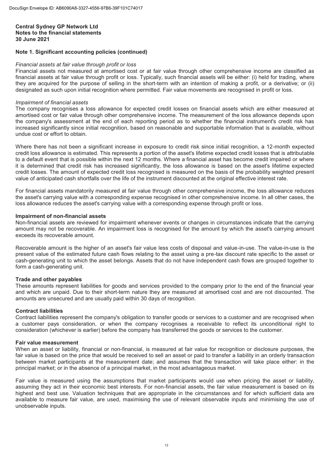# **Note 1. Significant accounting policies (continued)**

Financial assets not measured at amortised cost or at fair value through other comprehensive income are classified as financial assets at fair value through profit or loss. Typically, such financial assets will be either: (i) held for trading, where they are acquired for the purpose of selling in the short-term with an intention of making a profit, or a derivative; or (ii) designated as such upon initial recognition where permitted. Fair value movements are recognised in profit or loss.

*Impairment of financial assets*  The company recognises a loss allowance for expected credit losses on financial assets which are either measured at amortised cost or fair value through other comprehensive income. The measurement of the loss allowance depends upon the company's assessment at the end of each reporting period as to whether the financial instrument's credit risk has increased significantly since initial recognition, based on reasonable and supportable information that is available, without undue cost or effort to obtain.

Where there has not been a significant increase in exposure to credit risk since initial recognition, a 12-month expected credit loss allowance is estimated. This represents a portion of the asset's lifetime expected credit losses that is attributable to a default event that is possible within the next 12 months. Where a financial asset has become credit impaired or where it is determined that credit risk has increased significantly, the loss allowance is based on the asset's lifetime expected credit losses. The amount of expected credit loss recognised is measured on the basis of the probability weighted present value of anticipated cash shortfalls over the life of the instrument discounted at the original effective interest rate.

For financial assets mandatorily measured at fair value through other comprehensive income, the loss allowance reduces the asset's carrying value with a corresponding expense recognised in other comprehensive income. In all other cases, the loss allowance reduces the asset's carrying value with a corresponding expense through profit or loss.

### **Impairment of non-financial assets**

Non-financial assets are reviewed for impairment whenever events or changes in circumstances indicate that the carrying amount may not be recoverable. An impairment loss is recognised for the amount by which the asset's carrying amount exceeds its recoverable amount.

Recoverable amount is the higher of an asset's fair value less costs of disposal and value-in-use. The value-in-use is the present value of the estimated future cash flows relating to the asset using a pre-tax discount rate specific to the asset or cash-generating unit to which the asset belongs. Assets that do not have independent cash flows are grouped together to form a cash-generating unit.

# **Trade and other payables**

These amounts represent liabilities for goods and services provided to the company prior to the end of the financial year and which are unpaid. Due to their short-term nature they are measured at amortised cost and are not discounted. The amounts are unsecured and are usually paid within 30 days of recognition.

# **Contract liabilities**

Contract liabilities represent the company's obligation to transfer goods or services to a customer and are recognised when a customer pays consideration, or when the company recognises a receivable to reflect its unconditional right to consideration (whichever is earlier) before the company has transferred the goods or services to the customer.

# **Fair value measurement**

When an asset or liability, financial or non-financial, is measured at fair value for recognition or disclosure purposes, the fair value is based on the price that would be received to sell an asset or paid to transfer a liability in an orderly transaction between market participants at the measurement date; and assumes that the transaction will take place either: in the principal market; or in the absence of a principal market, in the most advantageous market.

Fair value is measured using the assumptions that market participants would use when pricing the asset or liability, assuming they act in their economic best interests. For non-financial assets, the fair value measurement is based on its highest and best use. Valuation techniques that are appropriate in the circumstances and for which sufficient data are available to measure fair value, are used, maximising the use of relevant observable inputs and minimising the use of unobservable inputs.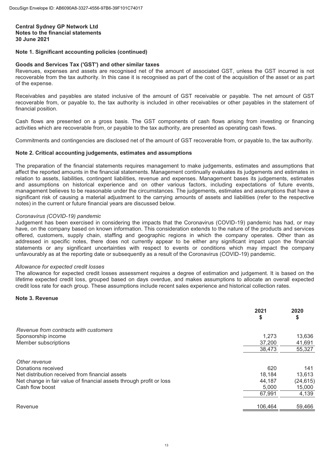# **Note 1. Significant accounting policies (continued)**

# **Goods and Services Tax ('GST') and other similar taxes**

Revenues, expenses and assets are recognised net of the amount of associated GST, unless the GST incurred is not recoverable from the tax authority. In this case it is recognised as part of the cost of the acquisition of the asset or as part of the expense.

Receivables and payables are stated inclusive of the amount of GST receivable or payable. The net amount of GST recoverable from, or payable to, the tax authority is included in other receivables or other payables in the statement of financial position.

Cash flows are presented on a gross basis. The GST components of cash flows arising from investing or financing activities which are recoverable from, or payable to the tax authority, are presented as operating cash flows.

Commitments and contingencies are disclosed net of the amount of GST recoverable from, or payable to, the tax authority.

# **Note 2. Critical accounting judgements, estimates and assumptions**

The preparation of the financial statements requires management to make judgements, estimates and assumptions that affect the reported amounts in the financial statements. Management continually evaluates its judgements and estimates in relation to assets, liabilities, contingent liabilities, revenue and expenses. Management bases its judgements, estimates and assumptions on historical experience and on other various factors, including expectations of future events, management believes to be reasonable under the circumstances. The judgements, estimates and assumptions that have a significant risk of causing a material adjustment to the carrying amounts of assets and liabilities (refer to the respective notes) in the current or future financial years are discussed below.

*Coronavirus (COVID-19) pandemic*  Judgement has been exercised in considering the impacts that the Coronavirus (COVID-19) pandemic has had, or may have, on the company based on known information. This consideration extends to the nature of the products and services offered, customers, supply chain, staffing and geographic regions in which the company operates. Other than as addressed in specific notes, there does not currently appear to be either any significant impact upon the financial statements or any significant uncertainties with respect to events or conditions which may impact the company unfavourably as at the reporting date or subsequently as a result of the Coronavirus (COVID-19) pandemic.

*Allowance for expected credit losses*  The allowance for expected credit losses assessment requires a degree of estimation and judgement. It is based on the lifetime expected credit loss, grouped based on days overdue, and makes assumptions to allocate an overall expected credit loss rate for each group. These assumptions include recent sales experience and historical collection rates.

# **Note 3. Revenue**

|                                                                     | 2021<br>\$ | 2020<br>\$ |
|---------------------------------------------------------------------|------------|------------|
| Revenue from contracts with customers                               |            |            |
| Sponsorship income                                                  | 1.273      | 13,636     |
| Member subscriptions                                                | 37,200     | 41,691     |
|                                                                     | 38,473     | 55,327     |
| Other revenue                                                       |            |            |
| Donations received                                                  | 620        | 141        |
| Net distribution received from financial assets                     | 18,184     | 13,613     |
| Net change in fair value of financial assets through profit or loss | 44,187     | (24, 615)  |
| Cash flow boost                                                     | 5,000      | 15,000     |
|                                                                     | 67,991     | 4,139      |
| Revenue                                                             | 106,464    | 59,466     |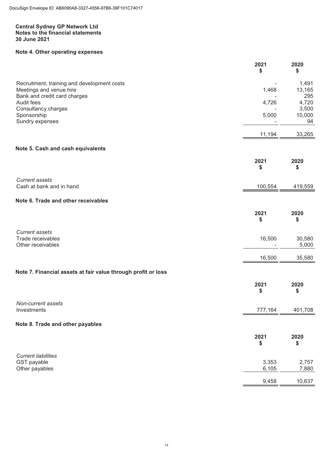# **Note 4. Other operating expenses**

|                                                                                                        | 2021<br>\$     | 2020<br>\$             |
|--------------------------------------------------------------------------------------------------------|----------------|------------------------|
| Recruitment, training and development costs<br>Meetings and venue hire<br>Bank and credit card charges | 1,468          | 1,491<br>13,165<br>295 |
| Audit fees                                                                                             | 4,726          | 4,720                  |
| Consultancy charges                                                                                    |                | 3,500<br>10,000        |
| Sponsorship<br>Sundry expenses                                                                         | 5,000          | 94                     |
|                                                                                                        | 11,194         | 33,265                 |
| Note 5. Cash and cash equivalents                                                                      |                |                        |
|                                                                                                        | 2021<br>\$     | 2020<br>\$             |
| <b>Current assets</b><br>Cash at bank and in hand                                                      | 100,554        | 419,559                |
|                                                                                                        |                |                        |
| Note 6. Trade and other receivables                                                                    |                |                        |
|                                                                                                        | 2021<br>\$     | 2020<br>\$             |
| <b>Current assets</b><br>Trade receivables                                                             | 16,500         | 30,580                 |
| Other receivables                                                                                      |                | 5,000                  |
|                                                                                                        | 16,500         | 35,580                 |
| Note 7. Financial assets at fair value through profit or loss                                          |                |                        |
|                                                                                                        | 2021<br>\$     | 2020<br>\$             |
| Non-current assets                                                                                     |                |                        |
| Investments                                                                                            | 777,164        | 401,708                |
| Note 8. Trade and other payables                                                                       |                |                        |
|                                                                                                        | 2021<br>\$     | 2020<br>\$             |
| <b>Current liabilities</b>                                                                             |                |                        |
| GST payable<br>Other payables                                                                          | 3,353<br>6,105 | 2,757<br>7,880         |
|                                                                                                        | 9,458          | 10,637                 |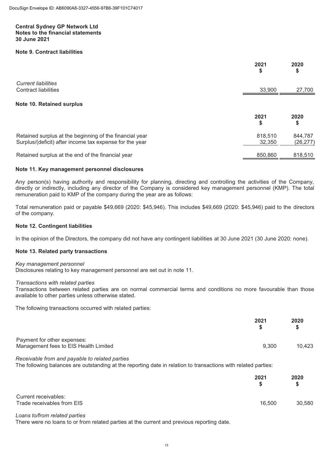# **Note 9. Contract liabilities**

|                                                                                                                    | 2021<br>\$        | 2020<br>\$           |
|--------------------------------------------------------------------------------------------------------------------|-------------------|----------------------|
| <b>Current liabilities</b><br><b>Contract liabilities</b>                                                          | 33,900            | 27,700               |
| Note 10. Retained surplus                                                                                          |                   |                      |
|                                                                                                                    | 2021<br>\$        | 2020<br>\$           |
| Retained surplus at the beginning of the financial year<br>Surplus/(deficit) after income tax expense for the year | 818,510<br>32,350 | 844,787<br>(26, 277) |
| Retained surplus at the end of the financial year                                                                  | 850,860           | 818,510              |

### **Note 11. Key management personnel disclosures**

Any person(s) having authority and responsibility for planning, directing and controlling the activities of the Company, directly or indirectly, including any director of the Company is considered key management personnel (KMP). The total remuneration paid to KMP of the company during the year are as follows:

Total remuneration paid or payable \$49,669 (2020: \$45,946). This includes \$49,669 (2020: \$45,946) paid to the directors of the company.

# **Note 12. Contingent liabilities**

In the opinion of the Directors, the company did not have any contingent liabilities at 30 June 2021 (30 June 2020: none).

### **Note 13. Related party transactions**

*Key management personnel* Disclosures relating to key management personnel are set out in note 11.

*Transactions with related parties*  Transactions between related parties are on normal commercial terms and conditions no more favourable than those available to other parties unless otherwise stated.

The following transactions occurred with related parties:

|                                                                      | 2021  | 2020   |
|----------------------------------------------------------------------|-------|--------|
| Payment for other expenses:<br>Management fees to EIS Health Limited | 9.300 | 10.423 |
| Description from and noughle to related nortice                      |       |        |

*Receivable from and payable to related parties*  The following balances are outstanding at the reporting date in relation to transactions with related parties:

|                                                    | 2021   | 2020<br>S |
|----------------------------------------------------|--------|-----------|
| Current receivables:<br>Trade receivables from EIS | 16,500 | 30,580    |

*Loans to/from related parties*  There were no loans to or from related parties at the current and previous reporting date.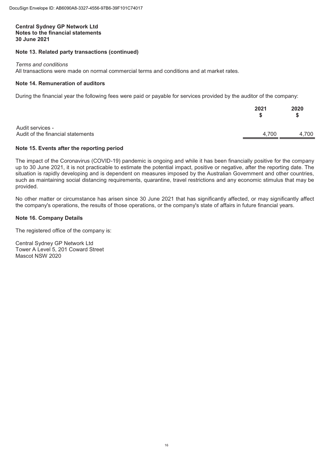# **Note 13. Related party transactions (continued)**

Terms and conditions

*Terms and conditions*  All transactions were made on normal commercial terms and conditions and at market rates.

# **Note 14. Remuneration of auditors**

During the financial year the following fees were paid or payable for services provided by the auditor of the company:

|                                                       | 2021  | 2020  |
|-------------------------------------------------------|-------|-------|
| Audit services -<br>Audit of the financial statements | 4.700 | 4,700 |

# **Note 15. Events after the reporting period**

The impact of the Coronavirus (COVID-19) pandemic is ongoing and while it has been financially positive for the company up to 30 June 2021, it is not practicable to estimate the potential impact, positive or negative, after the reporting date. The situation is rapidly developing and is dependent on measures imposed by the Australian Government and other countries, such as maintaining social distancing requirements, quarantine, travel restrictions and any economic stimulus that may be provided.

No other matter or circumstance has arisen since 30 June 2021 that has significantly affected, or may significantly affect the company's operations, the results of those operations, or the company's state of affairs in future financial years.

# **Note 16. Company Details**

The registered office of the company is:

Central Sydney GP Network Ltd Tower A Level 5, 201 Coward Street Mascot NSW 2020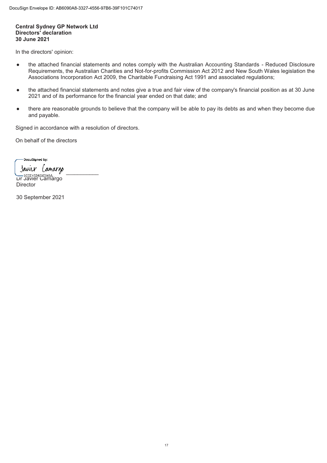# **Central Sydney GP Network Ltd Directors' declaration 30 June 2021**

In the directors' opinion:

- the attached financial statements and notes comply with the Australian Accounting Standards Reduced Disclosure Requirements, the Australian Charities and Not-for-profits Commission Act 2012 and New South Wales legislation the Associations Incorporation Act 2009, the Charitable Fundraising Act 1991 and associated regulations;
- the attached financial statements and notes give a true and fair view of the company's financial position as at 30 June 2021 and of its performance for the financial year ended on that date; and
- there are reasonable grounds to believe that the company will be able to pay its debts as and when they become due and payable.

Signed in accordance with a resolution of directors.

On behalf of the directors

-DocuSigned by: ŕ  $\frac{1}{2}$ Dr Javier Camargo **Director** 

30 September 2021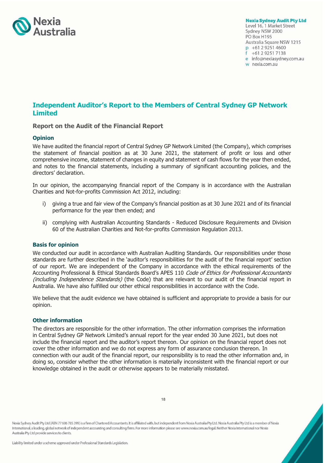

**Nexia Sydney Audit Pty Ltd** Level 16, 1 Market Street Sydney NSW 2000 PO Box H195 Australia Square NSW 1215  $p + 61292514600$ f +61 2 9251 7138 e info@nexiasydney.com.au w nexia.com.au

# **Independent Auditor's Report to the Members of Central Sydney GP Network Limited**

# **Report on the Audit of the Financial Report**

# **Opinion**

We have audited the financial report of Central Sydney GP Network Limited (the Company), which comprises the statement of financial position as at 30 June 2021, the statement of profit or loss and other comprehensive income, statement of changes in equity and statement of cash flows for the year then ended, and notes to the financial statements, including a summary of significant accounting policies, and the directors' declaration.

In our opinion, the accompanying financial report of the Company is in accordance with the Australian Charities and Not-for-profits Commission Act 2012, including:

- i) giving a true and fair view of the Company's financial position as at 30 June 2021 and of its financial performance for the year then ended; and
- ii) complying with Australian Accounting Standards Reduced Disclosure Requirements and Division 60 of the Australian Charities and Not-for-profits Commission Regulation 2013.

# **Basis for opinion**

We conducted our audit in accordance with Australian Auditing Standards. Our responsibilities under those standards are further described in the 'auditor's responsibilities for the audit of the financial report' section of our report. We are independent of the Company in accordance with the ethical requirements of the Accounting Professional & Ethical Standards Board's APES 110 Code of Ethics for Professional Accountants (including Independence Standards) (the Code) that are relevant to our audit of the financial report in Australia. We have also fulfilled our other ethical responsibilities in accordance with the Code.

We believe that the audit evidence we have obtained is sufficient and appropriate to provide a basis for our opinion.

# **Other information**

The directors are responsible for the other information. The other information comprises the information in Central Sydney GP Network Limited's annual report for the year ended 30 June 2021, but does not include the financial report and the auditor's report thereon. Our opinion on the financial report does not cover the other information and we do not express any form of assurance conclusion thereon. In connection with our audit of the financial report, our responsibility is to read the other information and, in doing so, consider whether the other information is materially inconsistent with the financial report or our knowledge obtained in the audit or otherwise appears to be materially misstated.

Nexia Sydney Audit Pty Ltd (ABN 77 606 785 399) is a firm of Chartered Accountants. It is affiliated with, but independent from Nexia Australia Pty Ltd. Nexia Australia Pty Ltd is a member of Nexia International, a leading, global network of independent accounting and consulting firms. For more information please see www.nexia.com.au/legal. Neither Nexia International nor Nexia Australia Pty Ltd provide services to clients.